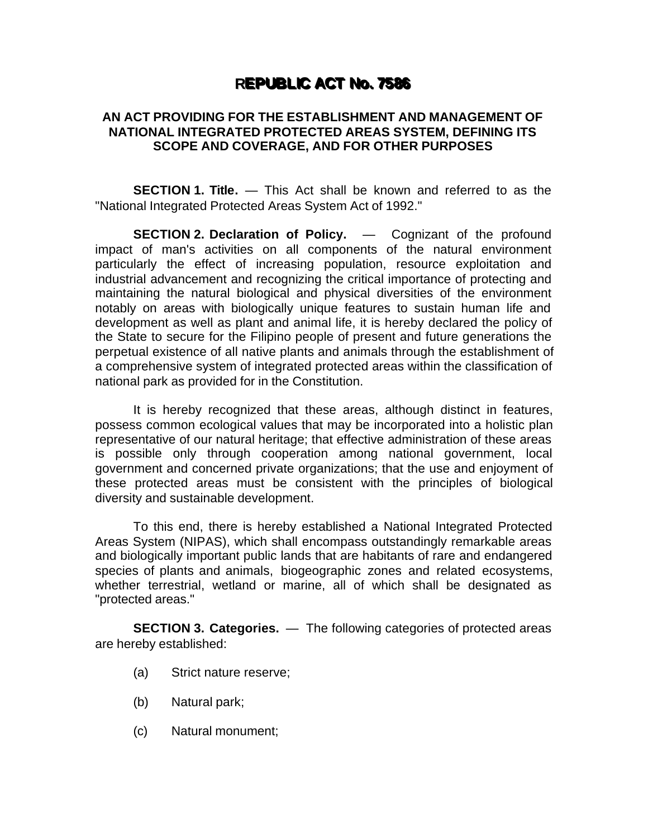## **REPUBLIC ACT No. 7586**

## **AN ACT PROVIDING FOR THE ESTABLISHMENT AND MANAGEMENT OF NATIONAL INTEGRATED PROTECTED AREAS SYSTEM, DEFINING ITS SCOPE AND COVERAGE, AND FOR OTHER PURPOSES**

**SECTION 1. Title.** — This Act shall be known and referred to as the "National Integrated Protected Areas System Act of 1992."

**SECTION 2. Declaration of Policy.** — Cognizant of the profound impact of man's activities on all components of the natural environment particularly the effect of increasing population, resource exploitation and industrial advancement and recognizing the critical importance of protecting and maintaining the natural biological and physical diversities of the environment notably on areas with biologically unique features to sustain human life and development as well as plant and animal life, it is hereby declared the policy of the State to secure for the Filipino people of present and future generations the perpetual existence of all native plants and animals through the establishment of a comprehensive system of integrated protected areas within the classification of national park as provided for in the Constitution.

It is hereby recognized that these areas, although distinct in features, possess common ecological values that may be incorporated into a holistic plan representative of our natural heritage; that effective administration of these areas is possible only through cooperation among national government, local government and concerned private organizations; that the use and enjoyment of these protected areas must be consistent with the principles of biological diversity and sustainable development.

To this end, there is hereby established a National Integrated Protected Areas System (NIPAS), which shall encompass outstandingly remarkable areas and biologically important public lands that are habitants of rare and endangered species of plants and animals, biogeographic zones and related ecosystems, whether terrestrial, wetland or marine, all of which shall be designated as "protected areas."

**SECTION 3. Categories.** — The following categories of protected areas are hereby established:

- (a) Strict nature reserve;
- (b) Natural park;
- (c) Natural monument;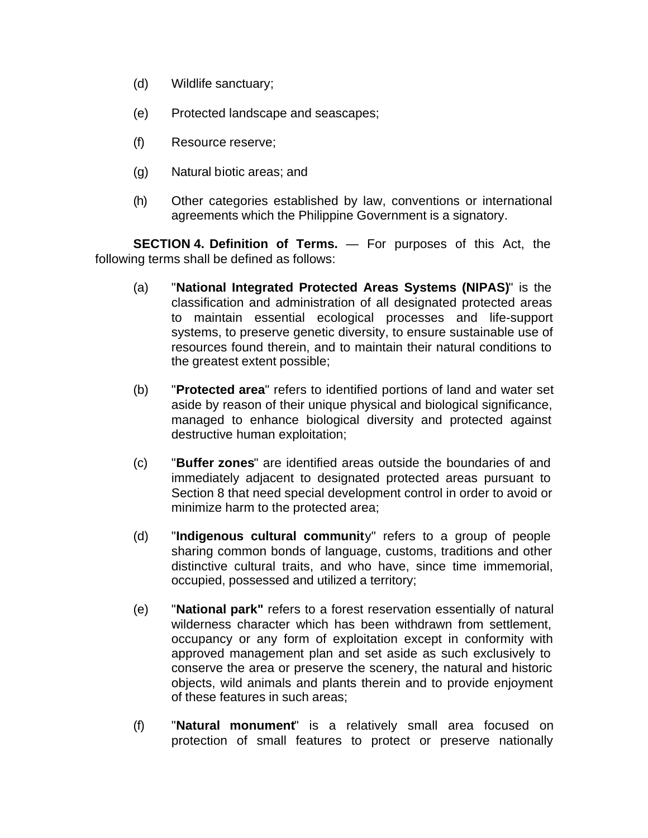- (d) Wildlife sanctuary;
- (e) Protected landscape and seascapes;
- (f) Resource reserve;
- (g) Natural biotic areas; and
- (h) Other categories established by law, conventions or international agreements which the Philippine Government is a signatory.

**SECTION 4. Definition of Terms.** — For purposes of this Act, the following terms shall be defined as follows:

- (a) "**National Integrated Protected Areas Systems (NIPAS)**" is the classification and administration of all designated protected areas to maintain essential ecological processes and life-support systems, to preserve genetic diversity, to ensure sustainable use of resources found therein, and to maintain their natural conditions to the greatest extent possible;
- (b) "**Protected area**" refers to identified portions of land and water set aside by reason of their unique physical and biological significance, managed to enhance biological diversity and protected against destructive human exploitation;
- (c) "**Buffer zones**" are identified areas outside the boundaries of and immediately adjacent to designated protected areas pursuant to Section 8 that need special development control in order to avoid or minimize harm to the protected area;
- (d) "**Indigenous cultural communit**y" refers to a group of people sharing common bonds of language, customs, traditions and other distinctive cultural traits, and who have, since time immemorial, occupied, possessed and utilized a territory;
- (e) "**National park"** refers to a forest reservation essentially of natural wilderness character which has been withdrawn from settlement, occupancy or any form of exploitation except in conformity with approved management plan and set aside as such exclusively to conserve the area or preserve the scenery, the natural and historic objects, wild animals and plants therein and to provide enjoyment of these features in such areas;
- (f) "**Natural monument**" is a relatively small area focused on protection of small features to protect or preserve nationally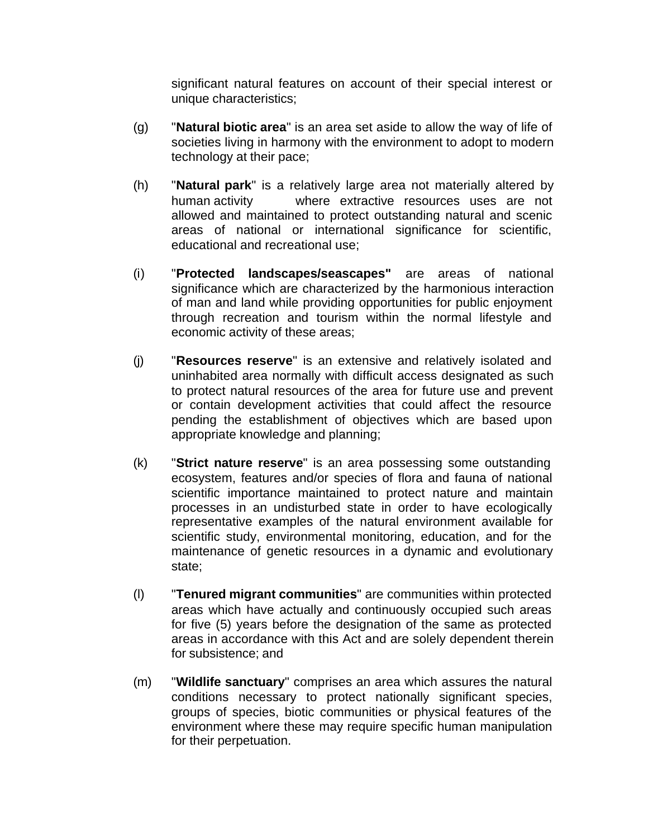significant natural features on account of their special interest or unique characteristics;

- (g) "**Natural biotic area**" is an area set aside to allow the way of life of societies living in harmony with the environment to adopt to modern technology at their pace;
- (h) "**Natural park**" is a relatively large area not materially altered by human activity where extractive resources uses are not allowed and maintained to protect outstanding natural and scenic areas of national or international significance for scientific, educational and recreational use;
- (i) "**Protected landscapes/seascapes"** are areas of national significance which are characterized by the harmonious interaction of man and land while providing opportunities for public enjoyment through recreation and tourism within the normal lifestyle and economic activity of these areas;
- (j) "**Resources reserve**" is an extensive and relatively isolated and uninhabited area normally with difficult access designated as such to protect natural resources of the area for future use and prevent or contain development activities that could affect the resource pending the establishment of objectives which are based upon appropriate knowledge and planning;
- (k) "**Strict nature reserve**" is an area possessing some outstanding ecosystem, features and/or species of flora and fauna of national scientific importance maintained to protect nature and maintain processes in an undisturbed state in order to have ecologically representative examples of the natural environment available for scientific study, environmental monitoring, education, and for the maintenance of genetic resources in a dynamic and evolutionary state;
- (l) "**Tenured migrant communities**" are communities within protected areas which have actually and continuously occupied such areas for five (5) years before the designation of the same as protected areas in accordance with this Act and are solely dependent therein for subsistence; and
- (m) "**Wildlife sanctuary**" comprises an area which assures the natural conditions necessary to protect nationally significant species, groups of species, biotic communities or physical features of the environment where these may require specific human manipulation for their perpetuation.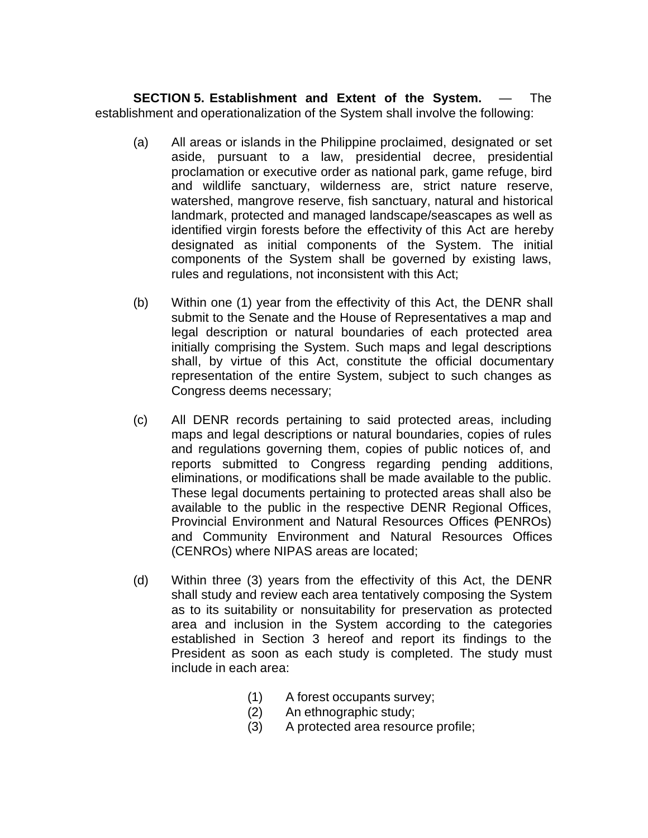**SECTION 5. Establishment and Extent of the System.** — The establishment and operationalization of the System shall involve the following:

- (a) All areas or islands in the Philippine proclaimed, designated or set aside, pursuant to a law, presidential decree, presidential proclamation or executive order as national park, game refuge, bird and wildlife sanctuary, wilderness are, strict nature reserve, watershed, mangrove reserve, fish sanctuary, natural and historical landmark, protected and managed landscape/seascapes as well as identified virgin forests before the effectivity of this Act are hereby designated as initial components of the System. The initial components of the System shall be governed by existing laws, rules and regulations, not inconsistent with this Act;
- (b) Within one (1) year from the effectivity of this Act, the DENR shall submit to the Senate and the House of Representatives a map and legal description or natural boundaries of each protected area initially comprising the System. Such maps and legal descriptions shall, by virtue of this Act, constitute the official documentary representation of the entire System, subject to such changes as Congress deems necessary;
- (c) All DENR records pertaining to said protected areas, including maps and legal descriptions or natural boundaries, copies of rules and regulations governing them, copies of public notices of, and reports submitted to Congress regarding pending additions, eliminations, or modifications shall be made available to the public. These legal documents pertaining to protected areas shall also be available to the public in the respective DENR Regional Offices, Provincial Environment and Natural Resources Offices (PENROs) and Community Environment and Natural Resources Offices (CENROs) where NIPAS areas are located;
- (d) Within three (3) years from the effectivity of this Act, the DENR shall study and review each area tentatively composing the System as to its suitability or nonsuitability for preservation as protected area and inclusion in the System according to the categories established in Section 3 hereof and report its findings to the President as soon as each study is completed. The study must include in each area:
	- (1) A forest occupants survey;
	- (2) An ethnographic study;
	- (3) A protected area resource profile;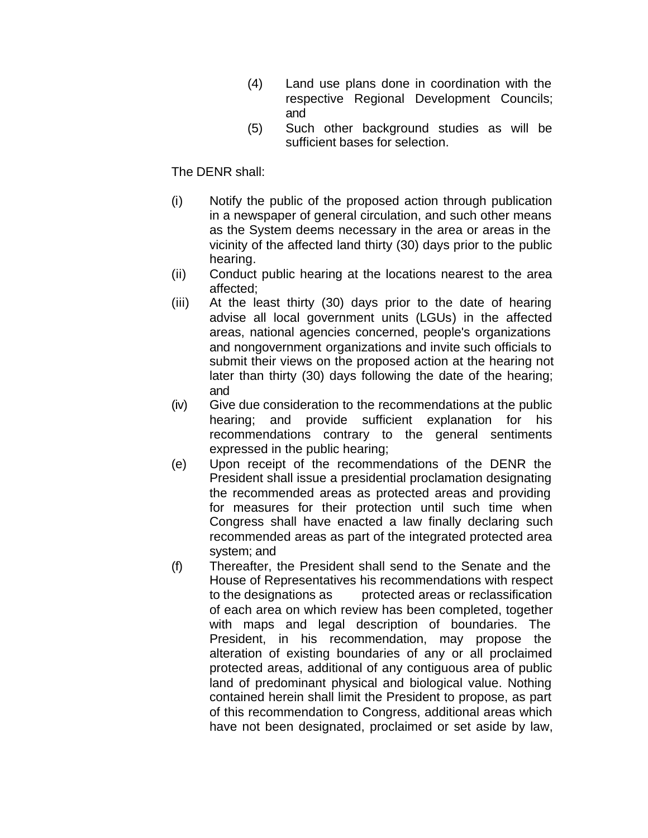- (4) Land use plans done in coordination with the respective Regional Development Councils; and
- (5) Such other background studies as will be sufficient bases for selection.

## The DENR shall:

- (i) Notify the public of the proposed action through publication in a newspaper of general circulation, and such other means as the System deems necessary in the area or areas in the vicinity of the affected land thirty (30) days prior to the public hearing.
- (ii) Conduct public hearing at the locations nearest to the area affected;
- (iii) At the least thirty (30) days prior to the date of hearing advise all local government units (LGUs) in the affected areas, national agencies concerned, people's organizations and nongovernment organizations and invite such officials to submit their views on the proposed action at the hearing not later than thirty (30) days following the date of the hearing; and
- (iv) Give due consideration to the recommendations at the public hearing; and provide sufficient explanation for his recommendations contrary to the general sentiments expressed in the public hearing;
- (e) Upon receipt of the recommendations of the DENR the President shall issue a presidential proclamation designating the recommended areas as protected areas and providing for measures for their protection until such time when Congress shall have enacted a law finally declaring such recommended areas as part of the integrated protected area system; and
- (f) Thereafter, the President shall send to the Senate and the House of Representatives his recommendations with respect to the designations as protected areas or reclassification of each area on which review has been completed, together with maps and legal description of boundaries. The President, in his recommendation, may propose the alteration of existing boundaries of any or all proclaimed protected areas, additional of any contiguous area of public land of predominant physical and biological value. Nothing contained herein shall limit the President to propose, as part of this recommendation to Congress, additional areas which have not been designated, proclaimed or set aside by law,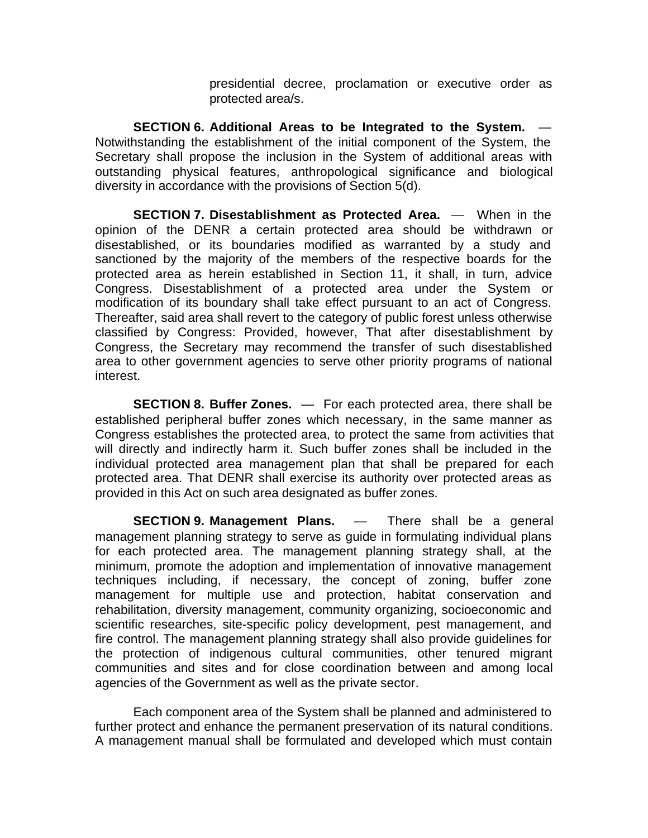presidential decree, proclamation or executive order as protected area/s.

**SECTION 6. Additional Areas to be Integrated to the System.** — Notwithstanding the establishment of the initial component of the System, the Secretary shall propose the inclusion in the System of additional areas with outstanding physical features, anthropological significance and biological diversity in accordance with the provisions of Section 5(d).

**SECTION 7. Disestablishment as Protected Area.** — When in the opinion of the DENR a certain protected area should be withdrawn or disestablished, or its boundaries modified as warranted by a study and sanctioned by the majority of the members of the respective boards for the protected area as herein established in Section 11, it shall, in turn, advice Congress. Disestablishment of a protected area under the System or modification of its boundary shall take effect pursuant to an act of Congress. Thereafter, said area shall revert to the category of public forest unless otherwise classified by Congress: Provided, however, That after disestablishment by Congress, the Secretary may recommend the transfer of such disestablished area to other government agencies to serve other priority programs of national interest.

**SECTION 8. Buffer Zones.** — For each protected area, there shall be established peripheral buffer zones which necessary, in the same manner as Congress establishes the protected area, to protect the same from activities that will directly and indirectly harm it. Such buffer zones shall be included in the individual protected area management plan that shall be prepared for each protected area. That DENR shall exercise its authority over protected areas as provided in this Act on such area designated as buffer zones.

**SECTION 9. Management Plans.** — There shall be a general management planning strategy to serve as guide in formulating individual plans for each protected area. The management planning strategy shall, at the minimum, promote the adoption and implementation of innovative management techniques including, if necessary, the concept of zoning, buffer zone management for multiple use and protection, habitat conservation and rehabilitation, diversity management, community organizing, socioeconomic and scientific researches, site-specific policy development, pest management, and fire control. The management planning strategy shall also provide guidelines for the protection of indigenous cultural communities, other tenured migrant communities and sites and for close coordination between and among local agencies of the Government as well as the private sector.

Each component area of the System shall be planned and administered to further protect and enhance the permanent preservation of its natural conditions. A management manual shall be formulated and developed which must contain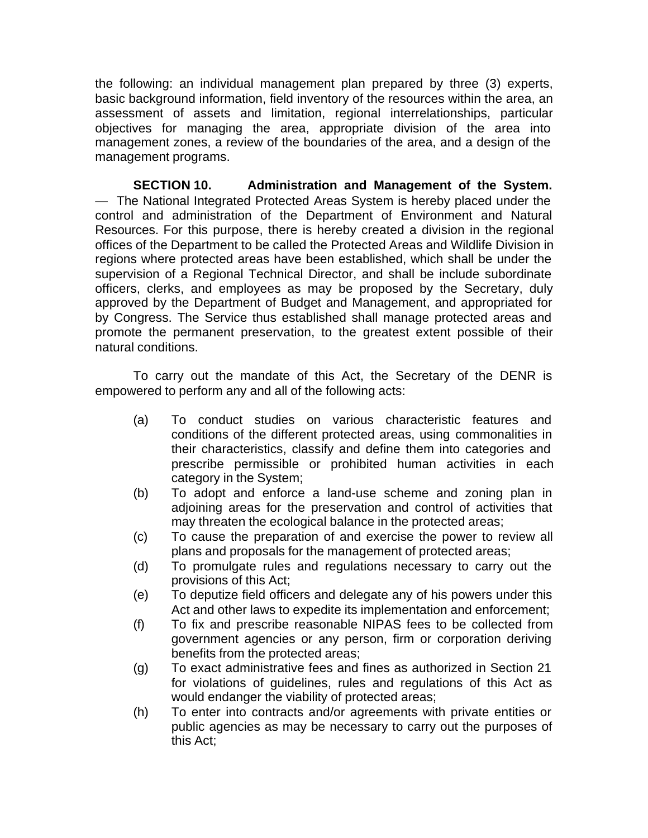the following: an individual management plan prepared by three (3) experts, basic background information, field inventory of the resources within the area, an assessment of assets and limitation, regional interrelationships, particular objectives for managing the area, appropriate division of the area into management zones, a review of the boundaries of the area, and a design of the management programs.

**SECTION 10. Administration and Management of the System.** — The National Integrated Protected Areas System is hereby placed under the control and administration of the Department of Environment and Natural Resources. For this purpose, there is hereby created a division in the regional offices of the Department to be called the Protected Areas and Wildlife Division in regions where protected areas have been established, which shall be under the supervision of a Regional Technical Director, and shall be include subordinate officers, clerks, and employees as may be proposed by the Secretary, duly approved by the Department of Budget and Management, and appropriated for by Congress. The Service thus established shall manage protected areas and promote the permanent preservation, to the greatest extent possible of their natural conditions.

To carry out the mandate of this Act, the Secretary of the DENR is empowered to perform any and all of the following acts:

- (a) To conduct studies on various characteristic features and conditions of the different protected areas, using commonalities in their characteristics, classify and define them into categories and prescribe permissible or prohibited human activities in each category in the System;
- (b) To adopt and enforce a land-use scheme and zoning plan in adjoining areas for the preservation and control of activities that may threaten the ecological balance in the protected areas;
- (c) To cause the preparation of and exercise the power to review all plans and proposals for the management of protected areas;
- (d) To promulgate rules and regulations necessary to carry out the provisions of this Act;
- (e) To deputize field officers and delegate any of his powers under this Act and other laws to expedite its implementation and enforcement;
- (f) To fix and prescribe reasonable NIPAS fees to be collected from government agencies or any person, firm or corporation deriving benefits from the protected areas;
- (g) To exact administrative fees and fines as authorized in Section 21 for violations of guidelines, rules and regulations of this Act as would endanger the viability of protected areas;
- (h) To enter into contracts and/or agreements with private entities or public agencies as may be necessary to carry out the purposes of this Act;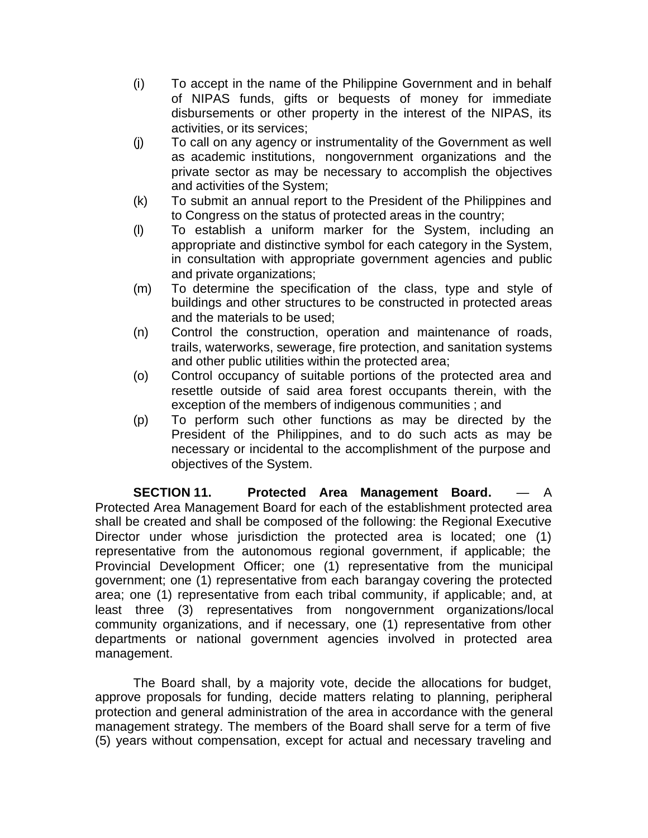- (i) To accept in the name of the Philippine Government and in behalf of NIPAS funds, gifts or bequests of money for immediate disbursements or other property in the interest of the NIPAS, its activities, or its services;
- (j) To call on any agency or instrumentality of the Government as well as academic institutions, nongovernment organizations and the private sector as may be necessary to accomplish the objectives and activities of the System;
- (k) To submit an annual report to the President of the Philippines and to Congress on the status of protected areas in the country;
- (l) To establish a uniform marker for the System, including an appropriate and distinctive symbol for each category in the System, in consultation with appropriate government agencies and public and private organizations;
- (m) To determine the specification of the class, type and style of buildings and other structures to be constructed in protected areas and the materials to be used;
- (n) Control the construction, operation and maintenance of roads, trails, waterworks, sewerage, fire protection, and sanitation systems and other public utilities within the protected area;
- (o) Control occupancy of suitable portions of the protected area and resettle outside of said area forest occupants therein, with the exception of the members of indigenous communities ; and
- (p) To perform such other functions as may be directed by the President of the Philippines, and to do such acts as may be necessary or incidental to the accomplishment of the purpose and objectives of the System.

**SECTION 11. Protected Area Management Board.** — A Protected Area Management Board for each of the establishment protected area shall be created and shall be composed of the following: the Regional Executive Director under whose jurisdiction the protected area is located; one (1) representative from the autonomous regional government, if applicable; the Provincial Development Officer; one (1) representative from the municipal government; one (1) representative from each barangay covering the protected area; one (1) representative from each tribal community, if applicable; and, at least three (3) representatives from nongovernment organizations/local community organizations, and if necessary, one (1) representative from other departments or national government agencies involved in protected area management.

The Board shall, by a majority vote, decide the allocations for budget, approve proposals for funding, decide matters relating to planning, peripheral protection and general administration of the area in accordance with the general management strategy. The members of the Board shall serve for a term of five (5) years without compensation, except for actual and necessary traveling and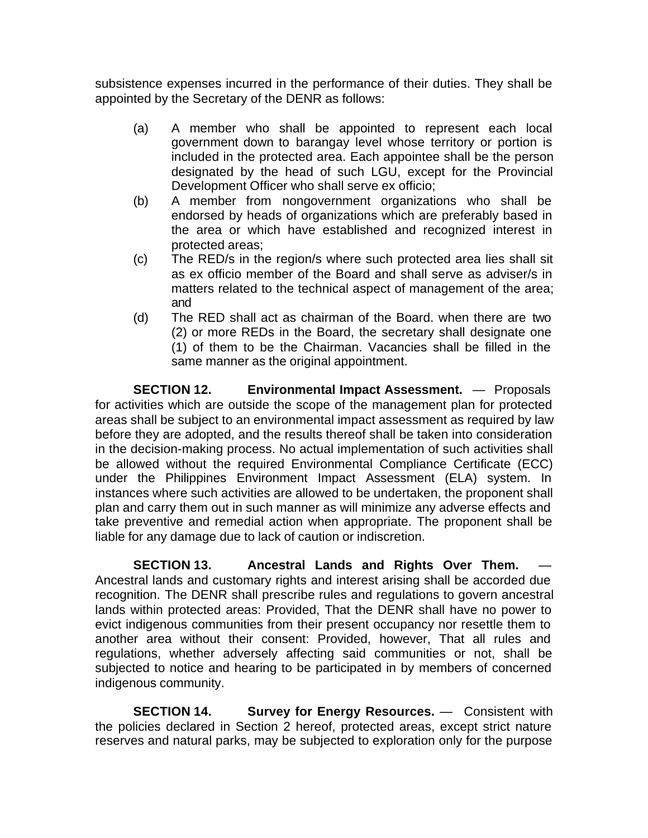subsistence expenses incurred in the performance of their duties. They shall be appointed by the Secretary of the DENR as follows:

- (a) A member who shall be appointed to represent each local government down to barangay level whose territory or portion is included in the protected area. Each appointee shall be the person designated by the head of such LGU, except for the Provincial Development Officer who shall serve ex officio;
- (b) A member from nongovernment organizations who shall be endorsed by heads of organizations which are preferably based in the area or which have established and recognized interest in protected areas;
- (c) The RED/s in the region/s where such protected area lies shall sit as ex officio member of the Board and shall serve as adviser/s in matters related to the technical aspect of management of the area; and
- (d) The RED shall act as chairman of the Board. when there are two (2) or more REDs in the Board, the secretary shall designate one (1) of them to be the Chairman. Vacancies shall be filled in the same manner as the original appointment.

**SECTION 12. Environmental Impact Assessment.** — Proposals for activities which are outside the scope of the management plan for protected areas shall be subject to an environmental impact assessment as required by law before they are adopted, and the results thereof shall be taken into consideration in the decision-making process. No actual implementation of such activities shall be allowed without the required Environmental Compliance Certificate (ECC) under the Philippines Environment Impact Assessment (ELA) system. In instances where such activities are allowed to be undertaken, the proponent shall plan and carry them out in such manner as will minimize any adverse effects and take preventive and remedial action when appropriate. The proponent shall be liable for any damage due to lack of caution or indiscretion.

**SECTION 13. Ancestral Lands and Rights Over Them.** — Ancestral lands and customary rights and interest arising shall be accorded due recognition. The DENR shall prescribe rules and regulations to govern ancestral lands within protected areas: Provided, That the DENR shall have no power to evict indigenous communities from their present occupancy nor resettle them to another area without their consent: Provided, however, That all rules and regulations, whether adversely affecting said communities or not, shall be subjected to notice and hearing to be participated in by members of concerned indigenous community.

**SECTION 14. Survey for Energy Resources.** — Consistent with the policies declared in Section 2 hereof, protected areas, except strict nature reserves and natural parks, may be subjected to exploration only for the purpose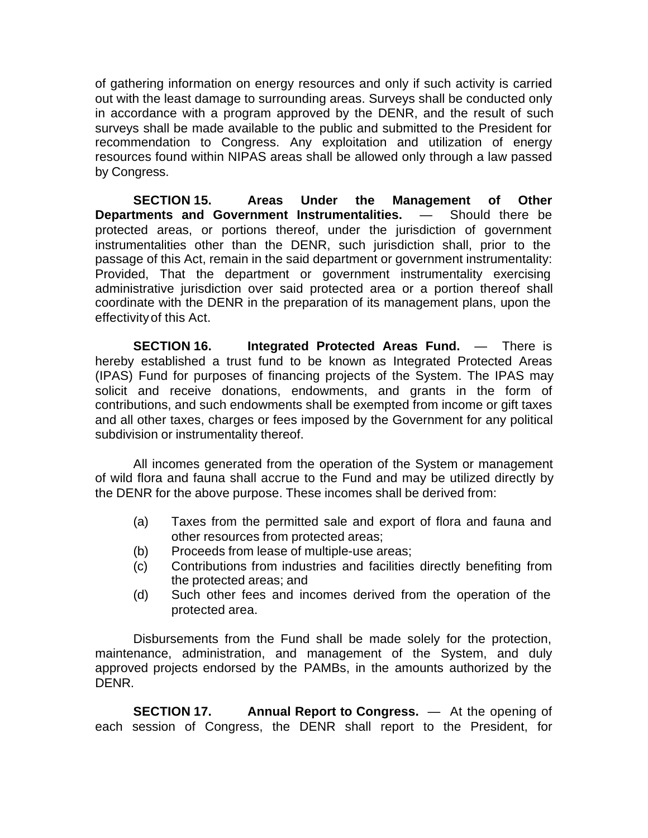of gathering information on energy resources and only if such activity is carried out with the least damage to surrounding areas. Surveys shall be conducted only in accordance with a program approved by the DENR, and the result of such surveys shall be made available to the public and submitted to the President for recommendation to Congress. Any exploitation and utilization of energy resources found within NIPAS areas shall be allowed only through a law passed by Congress.

**SECTION 15. Areas Under the Management of Other Departments and Government Instrumentalities.** — Should there be protected areas, or portions thereof, under the jurisdiction of government instrumentalities other than the DENR, such jurisdiction shall, prior to the passage of this Act, remain in the said department or government instrumentality: Provided, That the department or government instrumentality exercising administrative jurisdiction over said protected area or a portion thereof shall coordinate with the DENR in the preparation of its management plans, upon the effectivity of this Act.

**SECTION 16. Integrated Protected Areas Fund.** — There is hereby established a trust fund to be known as Integrated Protected Areas (IPAS) Fund for purposes of financing projects of the System. The IPAS may solicit and receive donations, endowments, and grants in the form of contributions, and such endowments shall be exempted from income or gift taxes and all other taxes, charges or fees imposed by the Government for any political subdivision or instrumentality thereof.

All incomes generated from the operation of the System or management of wild flora and fauna shall accrue to the Fund and may be utilized directly by the DENR for the above purpose. These incomes shall be derived from:

- (a) Taxes from the permitted sale and export of flora and fauna and other resources from protected areas;
- (b) Proceeds from lease of multiple-use areas;
- (c) Contributions from industries and facilities directly benefiting from the protected areas; and
- (d) Such other fees and incomes derived from the operation of the protected area.

Disbursements from the Fund shall be made solely for the protection, maintenance, administration, and management of the System, and duly approved projects endorsed by the PAMBs, in the amounts authorized by the DENR.

**SECTION 17. Annual Report to Congress.** — At the opening of each session of Congress, the DENR shall report to the President, for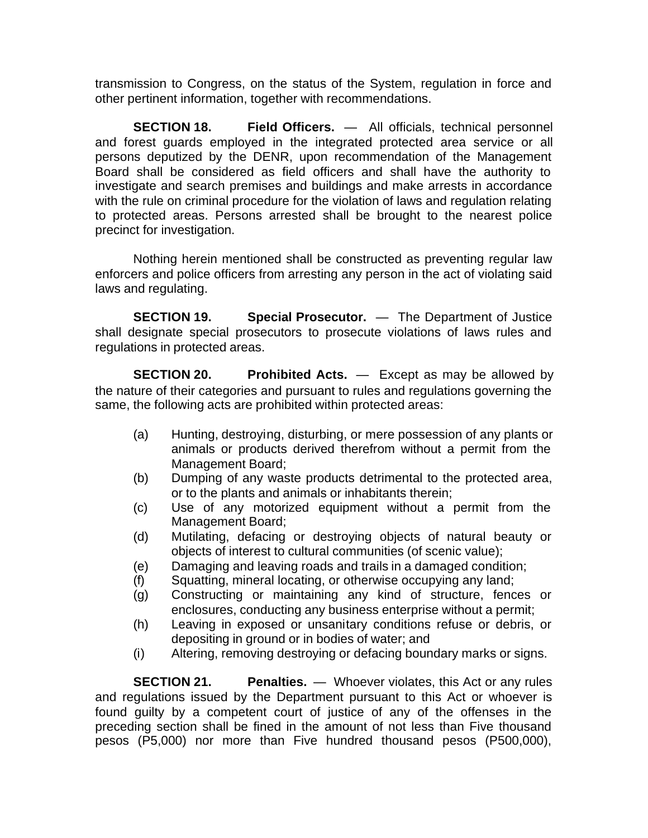transmission to Congress, on the status of the System, regulation in force and other pertinent information, together with recommendations.

**SECTION 18. Field Officers.** — All officials, technical personnel and forest guards employed in the integrated protected area service or all persons deputized by the DENR, upon recommendation of the Management Board shall be considered as field officers and shall have the authority to investigate and search premises and buildings and make arrests in accordance with the rule on criminal procedure for the violation of laws and regulation relating to protected areas. Persons arrested shall be brought to the nearest police precinct for investigation.

Nothing herein mentioned shall be constructed as preventing regular law enforcers and police officers from arresting any person in the act of violating said laws and regulating.

**SECTION 19. Special Prosecutor.** — The Department of Justice shall designate special prosecutors to prosecute violations of laws rules and regulations in protected areas.

**SECTION 20. Prohibited Acts.** — Except as may be allowed by the nature of their categories and pursuant to rules and regulations governing the same, the following acts are prohibited within protected areas:

- (a) Hunting, destroying, disturbing, or mere possession of any plants or animals or products derived therefrom without a permit from the Management Board;
- (b) Dumping of any waste products detrimental to the protected area, or to the plants and animals or inhabitants therein;
- (c) Use of any motorized equipment without a permit from the Management Board;
- (d) Mutilating, defacing or destroying objects of natural beauty or objects of interest to cultural communities (of scenic value);
- (e) Damaging and leaving roads and trails in a damaged condition;
- (f) Squatting, mineral locating, or otherwise occupying any land;
- (g) Constructing or maintaining any kind of structure, fences or enclosures, conducting any business enterprise without a permit;
- (h) Leaving in exposed or unsanitary conditions refuse or debris, or depositing in ground or in bodies of water; and
- (i) Altering, removing destroying or defacing boundary marks or signs.

**SECTION 21. Penalties.** — Whoever violates, this Act or any rules and regulations issued by the Department pursuant to this Act or whoever is found guilty by a competent court of justice of any of the offenses in the preceding section shall be fined in the amount of not less than Five thousand pesos (P5,000) nor more than Five hundred thousand pesos (P500,000),